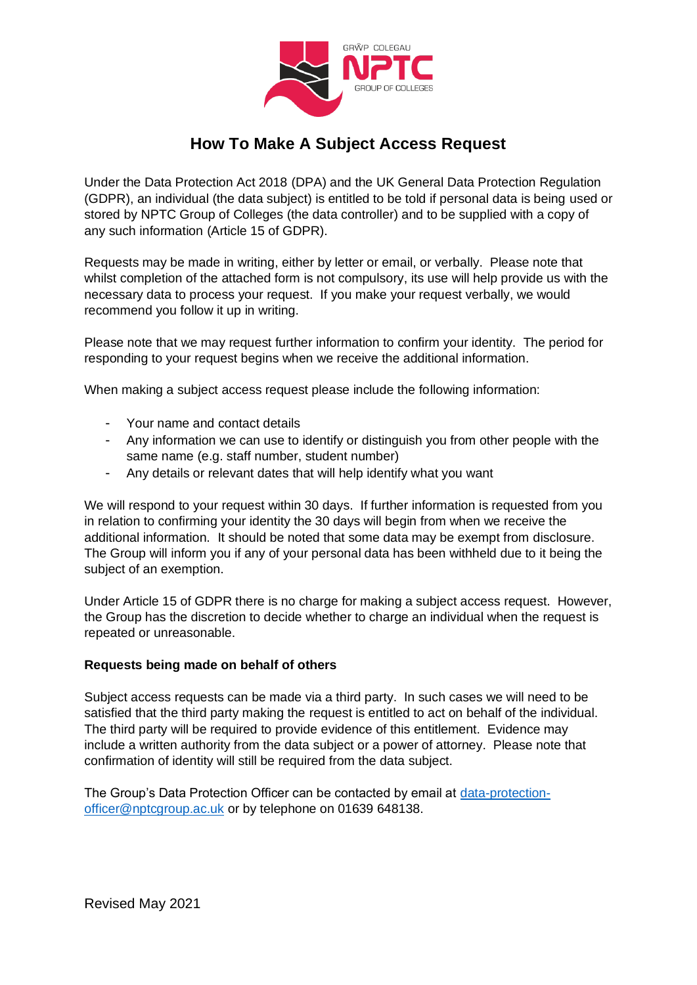

# **How To Make A Subject Access Request**

Under the Data Protection Act 2018 (DPA) and the UK General Data Protection Regulation (GDPR), an individual (the data subject) is entitled to be told if personal data is being used or stored by NPTC Group of Colleges (the data controller) and to be supplied with a copy of any such information (Article 15 of GDPR).

Requests may be made in writing, either by letter or email, or verbally. Please note that whilst completion of the attached form is not compulsory, its use will help provide us with the necessary data to process your request. If you make your request verbally, we would recommend you follow it up in writing.

Please note that we may request further information to confirm your identity. The period for responding to your request begins when we receive the additional information.

When making a subject access request please include the following information:

- Your name and contact details
- Any information we can use to identify or distinguish you from other people with the same name (e.g. staff number, student number)
- Any details or relevant dates that will help identify what you want

We will respond to your request within 30 days. If further information is requested from you in relation to confirming your identity the 30 days will begin from when we receive the additional information. It should be noted that some data may be exempt from disclosure. The Group will inform you if any of your personal data has been withheld due to it being the subject of an exemption.

Under Article 15 of GDPR there is no charge for making a subject access request. However, the Group has the discretion to decide whether to charge an individual when the request is repeated or unreasonable.

#### **Requests being made on behalf of others**

Subject access requests can be made via a third party. In such cases we will need to be satisfied that the third party making the request is entitled to act on behalf of the individual. The third party will be required to provide evidence of this entitlement. Evidence may include a written authority from the data subject or a power of attorney. Please note that confirmation of identity will still be required from the data subject.

The Group's Data Protection Officer can be contacted by email at [data-protection](mailto:data-protection-officer@nptcgroup.ac.uk)[officer@nptcgroup.ac.uk](mailto:data-protection-officer@nptcgroup.ac.uk) or by telephone on 01639 648138.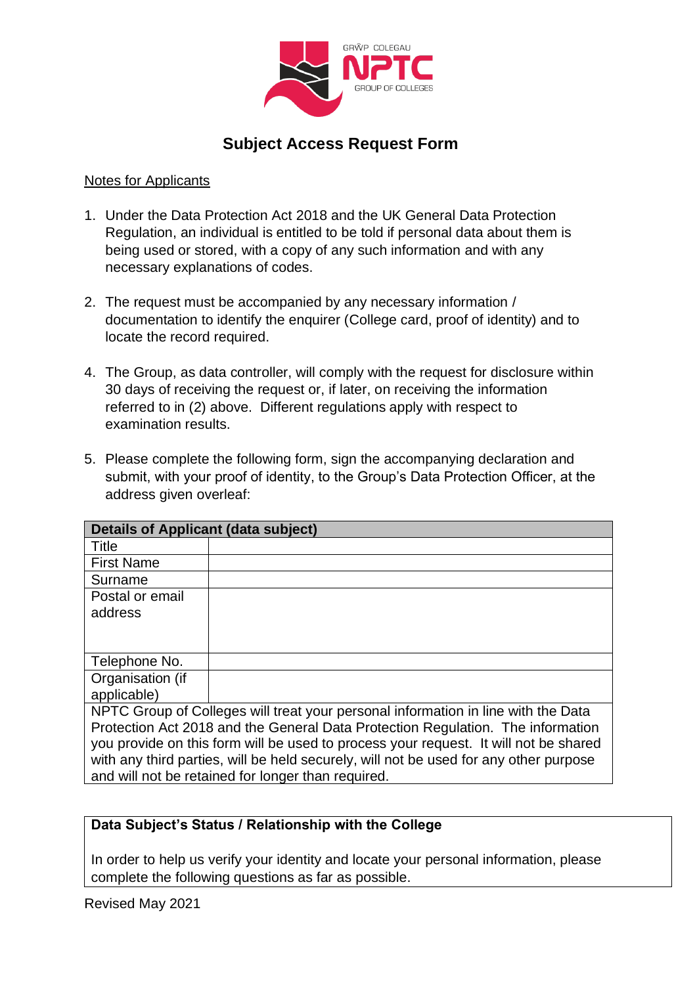

## **Subject Access Request Form**

#### Notes for Applicants

- 1. Under the Data Protection Act 2018 and the UK General Data Protection Regulation, an individual is entitled to be told if personal data about them is being used or stored, with a copy of any such information and with any necessary explanations of codes.
- 2. The request must be accompanied by any necessary information / documentation to identify the enquirer (College card, proof of identity) and to locate the record required.
- 4. The Group, as data controller, will comply with the request for disclosure within 30 days of receiving the request or, if later, on receiving the information referred to in (2) above. Different regulations apply with respect to examination results.
- 5. Please complete the following form, sign the accompanying declaration and submit, with your proof of identity, to the Group's Data Protection Officer, at the address given overleaf:

| <b>Details of Applicant (data subject)</b>                                            |  |  |
|---------------------------------------------------------------------------------------|--|--|
| Title                                                                                 |  |  |
| <b>First Name</b>                                                                     |  |  |
| Surname                                                                               |  |  |
| Postal or email                                                                       |  |  |
| address                                                                               |  |  |
|                                                                                       |  |  |
|                                                                                       |  |  |
| Telephone No.                                                                         |  |  |
| Organisation (if                                                                      |  |  |
| applicable)                                                                           |  |  |
| NPTC Group of Colleges will treat your personal information in line with the Data     |  |  |
| Protection Act 2018 and the General Data Protection Regulation. The information       |  |  |
| you provide on this form will be used to process your request. It will not be shared  |  |  |
| with any third parties, will be held securely, will not be used for any other purpose |  |  |
| and will not be retained for longer than required.                                    |  |  |

## **Data Subject's Status / Relationship with the College**

In order to help us verify your identity and locate your personal information, please complete the following questions as far as possible.

Revised May 2021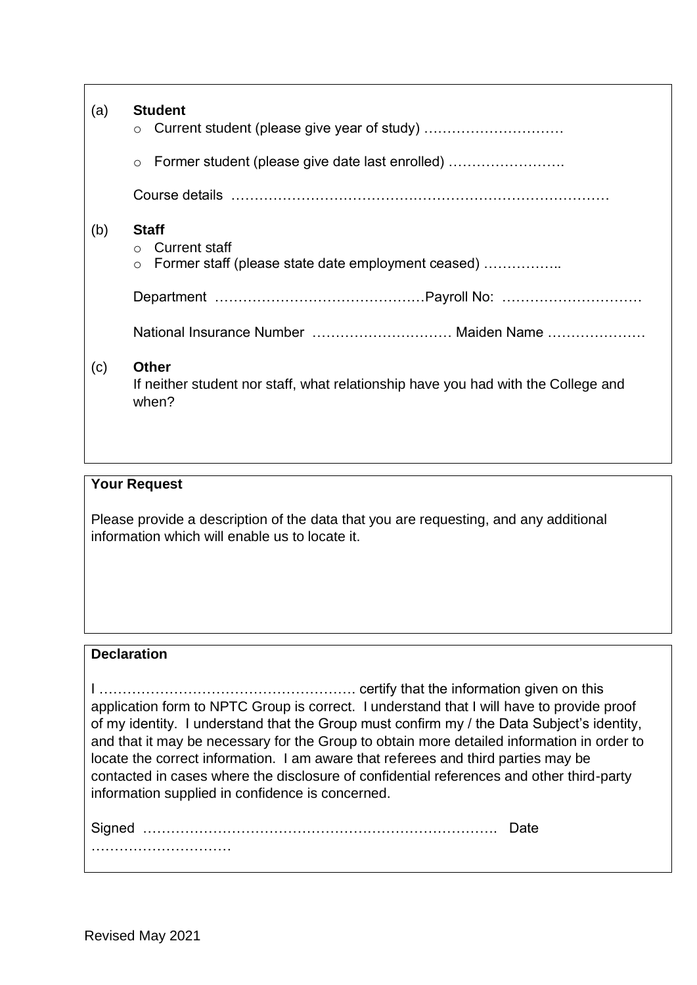| (a) | <b>Student</b><br>$\circ$                                                                                           |
|-----|---------------------------------------------------------------------------------------------------------------------|
|     | Former student (please give date last enrolled)<br>$\circ$                                                          |
|     |                                                                                                                     |
| (b) | <b>Staff</b><br><b>Current staff</b><br>$\bigcirc$<br>Former staff (please state date employment ceased)<br>$\circ$ |
|     |                                                                                                                     |
|     | National Insurance Number  Maiden Name                                                                              |
| (c) | <b>Other</b><br>If neither student nor staff, what relationship have you had with the College and<br>when?          |

#### **Your Request**

Please provide a description of the data that you are requesting, and any additional information which will enable us to locate it.

## **Declaration**

I ………………………………………………. certify that the information given on this application form to NPTC Group is correct. I understand that I will have to provide proof of my identity. I understand that the Group must confirm my / the Data Subject's identity, and that it may be necessary for the Group to obtain more detailed information in order to locate the correct information. I am aware that referees and third parties may be contacted in cases where the disclosure of confidential references and other third-party information supplied in confidence is concerned.

Signed …………………………………………………………………. Date …………………………